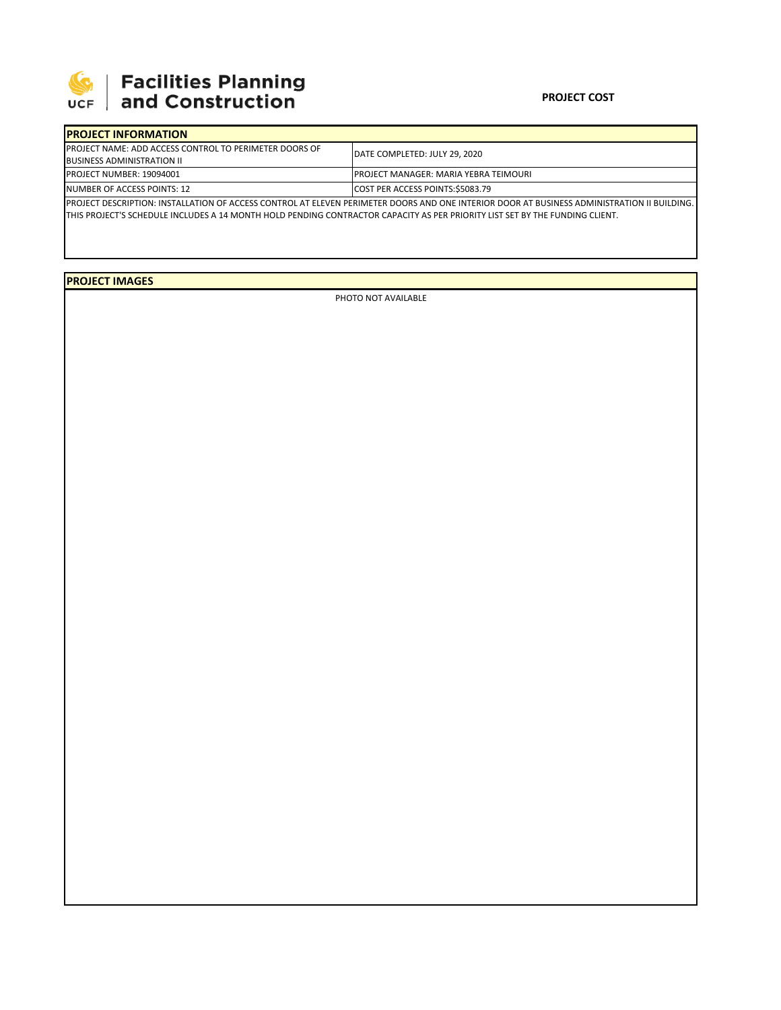

## **SEPTE AND Facilities Planning**<br>UCF and Construction

## **PROJECT COST**

| <b>IPROJECT INFORMATION</b>                                    |                                                                                                                                              |  |  |  |
|----------------------------------------------------------------|----------------------------------------------------------------------------------------------------------------------------------------------|--|--|--|
| <b>IPROJECT NAME: ADD ACCESS CONTROL TO PERIMETER DOORS OF</b> | IDATE COMPLETED: JULY 29. 2020                                                                                                               |  |  |  |
| <b>BUSINESS ADMINISTRATION II</b>                              |                                                                                                                                              |  |  |  |
| <b>PROJECT NUMBER: 19094001</b>                                | <b>IPROJECT MANAGER: MARIA YEBRA TEIMOURI</b>                                                                                                |  |  |  |
| NUMBER OF ACCESS POINTS: 12                                    | COST PER ACCESS POINTS:\$5083.79                                                                                                             |  |  |  |
|                                                                | IPROJECT DESCRIPTION: INSTALLATION OF ACCESS CONTROL AT ELEVEN PERIMETER DOORS AND ONE INTERIOR DOOR AT BUSINESS ADMINISTRATION II BUILDING. |  |  |  |

THIS PROJECT'S SCHEDULE INCLUDES A 14 MONTH HOLD PENDING CONTRACTOR CAPACITY AS PER PRIORITY LIST SET BY THE FUNDING CLIENT.

**PROJECT IMAGES**

PHOTO NOT AVAILABLE